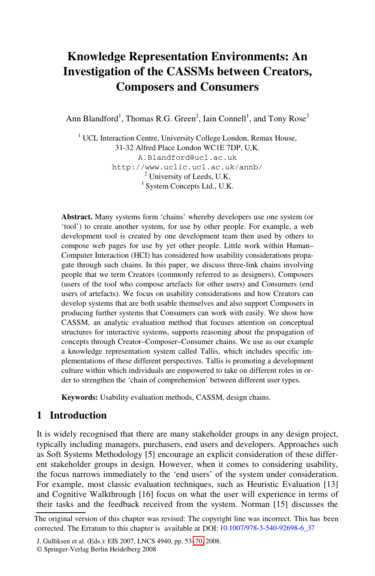# **Knowledge Representation Environments: An Investigation of the CASSMs between Creators, Composers and Consumers**

Ann Blandford<sup>1</sup>, Thomas R.G. Green<sup>2</sup>, Iain Connell<sup>1</sup>, and Tony Rose<sup>3</sup>

<sup>1</sup> UCL Interaction Centre, University College London, Remax House, 31-32 Alfred Place London WC1E 7DP, U.K. A.Blandford@ucl.ac.uk http://www.uclic.ucl.ac.uk/annb/ <sup>2</sup> University of Leeds, U.K. 3 System Concepts Ltd., U.K.

**Abstract.** Many systems form 'chains' whereby developers use one system (or 'tool') to create another system, for use by other people. For example, a web development tool is created by one development team then used by others to compose web pages for use by yet other people. Little work within Human– Computer Interaction (HCI) has considered how usability considerations propagate through such chains. In this paper, we discuss three-link chains involving people that we term Creators (commonly referred to as designers), Composers (users of the tool who compose artefacts for other users) and Consumers (end users of artefacts). We focus on usability considerations and how Creators can develop systems that are both usable themselves and also support Composers in producing further systems that Consumers can work with easily. We show how CASSM, an analytic evaluation method that focuses attention on conceptual structures for interactive systems, supports reasoning about the propagation of concepts through Creator–Composer–Consumer chains. We use as our example a knowledge representation system called Tallis, which includes specific implementations of these different perspectives. Tallis is promoting a development culture within which individuals are empowered to take on different roles in order to strengthen the 'chain of comprehension' between different user types.

**Keywords:** Usability evaluation methods, CASSM, design chains.

# **1 Introduction**

It is widely recognised that there are many stakeholder groups in any design project, typically includin[g managers, purchasers, end](http://dx.doi.org/10.1007/978-3-540-92698-6_37) users and developers. Approaches such as Soft Systems Methodology [5] encourage an explicit consideration of these different stakeholder groups [in d](#page-17-0)esign. However, when it comes to considering usability, the focus narrows immediately to the 'end users' of the system under consideration. For example, most classic evaluation techniques, such as Heuristic Evaluation [13] and Cognitive Walkthrough [16] focus on what the user will experience in terms of their tasks and the feedback received from the system. Norman [15] discusses the

The original version of this chapter was revised: The copyright line was incorrect. This has been corrected. The Erratum to this chapter is available at DOI: 10.1007/978-3-540-92698-6*\_*37

J. Gulliksen et al. (Eds.): EIS 2007, LNCS 4940, pp. 53–70, 2008.

<sup>©</sup> Springer-Verlag Berlin Heidelberg 2008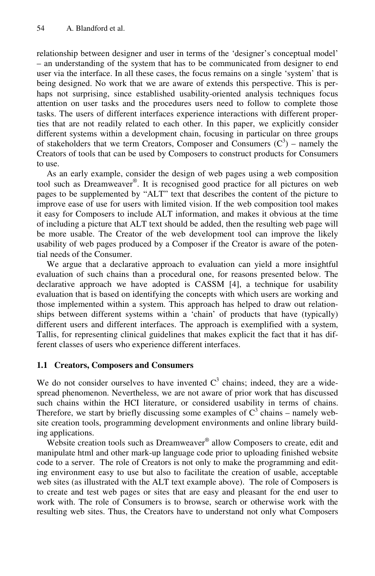relationship between designer and user in terms of the 'designer's conceptual model' – an understanding of the system that has to be communicated from designer to end user via the interface. In all these cases, the focus remains on a single 'system' that is being designed. No work that we are aware of extends this perspective. This is perhaps not surprising, since established usability-oriented analysis techniques focus attention on user tasks and the procedures users need to follow to complete those tasks. The users of different interfaces experience interactions with different properties that are not readily related to each other. In this paper, we explicitly consider different systems within a development chain, focusing in particular on three groups of stakeholders that we term Creators, Composer and Consumers  $(C<sup>3</sup>)$  – namely the Creators of tools that can be used by Composers to construct products for Consumers to use.

As an early example, consider the design of web pages using a web composition tool such as Dreamweaver®. It is recognised good practice for all pictures on web pages to be supplemented by "ALT" text that describes the content of the picture to improve ease of use for users with limited vision. If the web composition tool makes it easy for Composers to include ALT information, and makes it obvious at the time of including a picture that ALT text should be added, then the resulting web page will be more usable. The Creator of the web development tool can improve the likely usability of web pages produced by a Composer if the Creator is aware of the potential needs of the Consumer.

We argue that a declarative approach to evaluation can yield a more insightful evaluation of such chains than a procedural one, for reasons presented below. The declarative approach we have adopted is CASSM [4], a technique for usability evaluation that is based on identifying the concepts with which users are working and those implemented within a system. This approach has helped to draw out relationships between different systems within a 'chain' of products that have (typically) different users and different interfaces. The approach is exemplified with a system, Tallis, for representing clinical guidelines that makes explicit the fact that it has different classes of users who experience different interfaces.

## **1.1 Creators, Composers and Consumers**

We do not consider ourselves to have invented  $C<sup>3</sup>$  chains; indeed, they are a widespread phenomenon. Nevertheless, we are not aware of prior work that has discussed such chains within the HCI literature, or considered usability in terms of chains. Therefore, we start by briefly discussing some examples of  $C^3$  chains – namely website creation tools, programming development environments and online library building applications.

Website creation tools such as Dreamweaver<sup>®</sup> allow Composers to create, edit and manipulate html and other mark-up language code prior to uploading finished website code to a server. The role of Creators is not only to make the programming and editing environment easy to use but also to facilitate the creation of usable, acceptable web sites (as illustrated with the ALT text example above). The role of Composers is to create and test web pages or sites that are easy and pleasant for the end user to work with. The role of Consumers is to browse, search or otherwise work with the resulting web sites. Thus, the Creators have to understand not only what Composers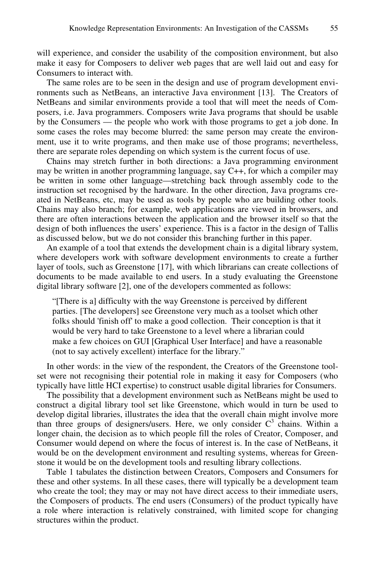will experience, and consider the usability of the composition environment, but also make it easy for Composers to deliver web pages that are well laid out and easy for Consumers to interact with.

The same roles are to be seen in the design and use of program development environments such as NetBeans, an interactive Java environment [13]. The Creators of NetBeans and similar environments provide a tool that will meet the needs of Composers, i.e. Java programmers. Composers write Java programs that should be usable by the Consumers — the people who work with those programs to get a job done. In some cases the roles may become blurred: the same person may create the environment, use it to write programs, and then make use of those programs; nevertheless, there are separate roles depending on which system is the current focus of use.

Chains may stretch further in both directions: a Java programming environment may be written in another programming language, say C++, for which a compiler may be written in some other language—stretching back through assembly code to the instruction set recognised by the hardware. In the other direction, Java programs created in NetBeans, etc, may be used as tools by people who are building other tools. Chains may also branch; for example, web applications are viewed in browsers, and there are often interactions between the application and the browser itself so that the design of both influences the users' experience. This is a factor in the design of Tallis as discussed below, but we do not consider this branching further in this paper.

An example of a tool that extends the development chain is a digital library system, where developers work with software development environments to create a further layer of tools, such as Greenstone [17], with which librarians can create collections of documents to be made available to end users. In a study evaluating the Greenstone digital library software [2], one of the developers commented as follows:

"[There is a] difficulty with the way Greenstone is perceived by different parties. [The developers] see Greenstone very much as a toolset which other folks should 'finish off' to make a good collection. Their conception is that it would be very hard to take Greenstone to a level where a librarian could make a few choices on GUI [Graphical User Interface] and have a reasonable (not to say actively excellent) interface for the library."

In other words: in the view of the respondent, the Creators of the Greenstone toolset were not recognising their potential role in making it easy for Composers (who typically have little HCI expertise) to construct usable digital libraries for Consumers.

The possibility that a development environment such as NetBeans might be used to construct a digital library tool set like Greenstone, which would in turn be used to develop digital libraries, illustrates the idea that the overall chain might involve more than three groups of designers/users. Here, we only consider  $C^3$  chains. Within a longer chain, the decision as to which people fill the roles of Creator, Composer, and Consumer would depend on where the focus of interest is. In the case of NetBeans, it would be on the development environment and resulting systems, whereas for Greenstone it would be on the development tools and resulting library collections.

Table 1 tabulates the distinction between Creators, Composers and Consumers for these and other systems. In all these cases, there will typically be a development team who create the tool; they may or may not have direct access to their immediate users, the Composers of products. The end users (Consumers) of the product typically have a role where interaction is relatively constrained, with limited scope for changing structures within the product.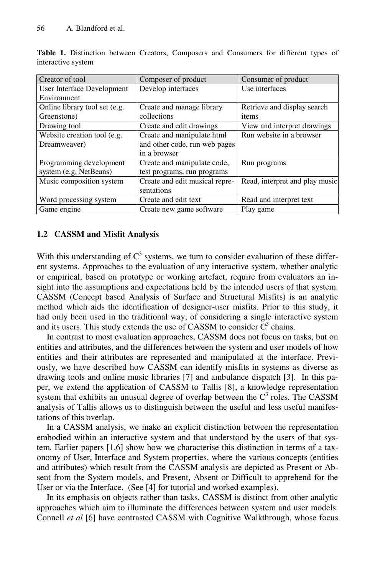| Creator of tool               | Composer of product            | Consumer of product            |  |
|-------------------------------|--------------------------------|--------------------------------|--|
| User Interface Development    | Develop interfaces             | Use interfaces                 |  |
| Environment                   |                                |                                |  |
| Online library tool set (e.g. | Create and manage library      | Retrieve and display search    |  |
| Greenstone)                   | collections                    | items                          |  |
| Drawing tool                  | Create and edit drawings       | View and interpret drawings    |  |
| Website creation tool (e.g.   | Create and manipulate html     | Run website in a browser       |  |
| Dreamweaver)                  | and other code, run web pages  |                                |  |
|                               | in a browser                   |                                |  |
| Programming development       | Create and manipulate code,    | Run programs                   |  |
| system (e.g. NetBeans)        | test programs, run programs    |                                |  |
| Music composition system      | Create and edit musical repre- | Read, interpret and play music |  |
|                               | sentations                     |                                |  |
| Word processing system        | Create and edit text           | Read and interpret text        |  |
| Game engine                   | Create new game software       | Play game                      |  |

**Table 1.** Distinction between Creators, Composers and Consumers for different types of interactive system

# **1.2 CASSM and Misfit Analysis**

With this understanding of  $C<sup>3</sup>$  systems, we turn to consider evaluation of these different systems. Approaches to the evaluation of any interactive system, whether analytic or empirical, based on prototype or working artefact, require from evaluators an insight into the assumptions and expectations held by the intended users of that system. CASSM (Concept based Analysis of Surface and Structural Misfits) is an analytic method which aids the identification of designer-user misfits. Prior to this study, it had only been used in the traditional way, of considering a single interactive system and its users. This study extends the use of CASSM to consider  $C<sup>3</sup>$  chains.

In contrast to most evaluation approaches, CASSM does not focus on tasks, but on entities and attributes, and the differences between the system and user models of how entities and their attributes are represented and manipulated at the interface. Previously, we have described how CASSM can identify misfits in systems as diverse as drawing tools and online music libraries [7] and ambulance dispatch [3]. In this paper, we extend the application of CASSM to Tallis [8], a knowledge representation system that exhibits an unusual degree of overlap between the  $C<sup>3</sup>$  roles. The CASSM analysis of Tallis allows us to distinguish between the useful and less useful manifestations of this overlap.

In a CASSM analysis, we make an explicit distinction between the representation embodied within an interactive system and that understood by the users of that system. Earlier papers [1,6] show how we characterise this distinction in terms of a taxonomy of User, Interface and System properties, where the various concepts (entities and attributes) which result from the CASSM analysis are depicted as Present or Absent from the System models, and Present, Absent or Difficult to apprehend for the User or via the Interface. (See [4] for tutorial and worked examples).

In its emphasis on objects rather than tasks, CASSM is distinct from other analytic approaches which aim to illuminate the differences between system and user models. Connell *et al* [6] have contrasted CASSM with Cognitive Walkthrough, whose focus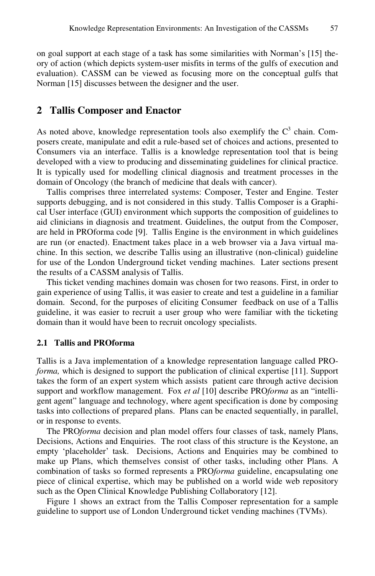on goal support at each stage of a task has some similarities with Norman's [15] theory of action (which depicts system-user misfits in terms of the gulfs of execution and evaluation). CASSM can be viewed as focusing more on the conceptual gulfs that Norman [15] discusses between the designer and the user.

#### **2 Tallis Composer and Enactor**

As noted above, knowledge representation tools also exemplify the  $C<sup>3</sup>$  chain. Composers create, manipulate and edit a rule-based set of choices and actions, presented to Consumers via an interface. Tallis is a knowledge representation tool that is being developed with a view to producing and disseminating guidelines for clinical practice. It is typically used for modelling clinical diagnosis and treatment processes in the domain of Oncology (the branch of medicine that deals with cancer).

Tallis comprises three interrelated systems: Composer, Tester and Engine. Tester supports debugging, and is not considered in this study. Tallis Composer is a Graphical User interface (GUI) environment which supports the composition of guidelines to aid clinicians in diagnosis and treatment. Guidelines, the output from the Composer, are held in PROforma code [9]. Tallis Engine is the environment in which guidelines are run (or enacted). Enactment takes place in a web browser via a Java virtual machine. In this section, we describe Tallis using an illustrative (non-clinical) guideline for use of the London Underground ticket vending machines. Later sections present the results of a CASSM analysis of Tallis.

This ticket vending machines domain was chosen for two reasons. First, in order to gain experience of using Tallis, it was easier to create and test a guideline in a familiar domain. Second, for the purposes of eliciting Consumer feedback on use of a Tallis guideline, it was easier to recruit a user group who were familiar with the ticketing domain than it would have been to recruit oncology specialists.

#### **2.1 Tallis and PROforma**

Tallis is a Java implementation of a knowledge representation language called PRO*forma,* which is designed to support the publication of clinical expertise [11]. Support takes the form of an expert system which assists patient care through active decision support and workflow management. Fox *et al* [10] describe PRO*forma* as an "intelligent agent" language and technology, where agent specification is done by composing tasks into collections of prepared plans. Plans can be enacted sequentially, in parallel, or in response to events.

The PRO*forma* decision and plan model offers four classes of task, namely Plans, Decisions, Actions and Enquiries. The root class of this structure is the Keystone, an empty 'placeholder' task. Decisions, Actions and Enquiries may be combined to make up Plans, which themselves consist of other tasks, including other Plans. A combination of tasks so formed represents a PRO*forma* guideline, encapsulating one piece of clinical expertise, which may be published on a world wide web repository such as the Open Clinical Knowledge Publishing Collaboratory [12].

Figure 1 shows an extract from the Tallis Composer representation for a sample guideline to support use of London Underground ticket vending machines (TVMs).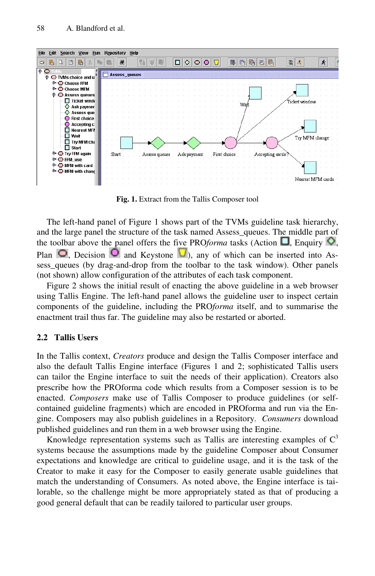

**Fig. 1.** Extract from the Tallis Composer tool

The left-hand panel of Figure 1 shows part of the TVMs guideline task hierarchy, and the large panel the structure of the task named Assess\_queues. The middle part of the toolbar above the panel offers the five PRO*forma* tasks (Action  $\Box$ , Enquiry  $\Diamond$ , Plan  $\Box$ . Decision  $\Box$  and Keystone  $\Box$ ), any of which can be inserted into Assess queues (by drag-and-drop from the toolbar to the task window). Other panels (not shown) allow configuration of the attributes of each task component.

Figure 2 shows the initial result of enacting the above guideline in a web browser using Tallis Engine. The left-hand panel allows the guideline user to inspect certain components of the guideline, including the PRO*forma* itself, and to summarise the enactment trail thus far. The guideline may also be restarted or aborted.

#### **2.2 Tallis Users**

In the Tallis context, *Creators* produce and design the Tallis Composer interface and also the default Tallis Engine interface (Figures 1 and 2; sophisticated Tallis users can tailor the Engine interface to suit the needs of their application). Creators also prescribe how the PROforma code which results from a Composer session is to be enacted. *Composers* make use of Tallis Composer to produce guidelines (or selfcontained guideline fragments) which are encoded in PROforma and run via the Engine. Composers may also publish guidelines in a Repository. *Consumers* download published guidelines and run them in a web browser using the Engine.

Knowledge representation systems such as Tallis are interesting examples of  $C<sup>3</sup>$ systems because the assumptions made by the guideline Composer about Consumer expectations and knowledge are critical to guideline usage, and it is the task of the Creator to make it easy for the Composer to easily generate usable guidelines that match the understanding of Consumers. As noted above, the Engine interface is tailorable, so the challenge might be more appropriately stated as that of producing a good general default that can be readily tailored to particular user groups.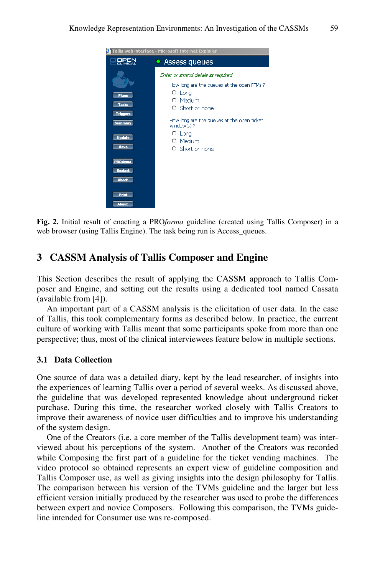

**Fig. 2.** Initial result of enacting a PRO*forma* guideline (created using Tallis Composer) in a web browser (using Tallis Engine). The task being run is Access\_queues.

# **3 CASSM Analysis of Tallis Composer and Engine**

This Section describes the result of applying the CASSM approach to Tallis Composer and Engine, and setting out the results using a dedicated tool named Cassata (available from [4]).

An important part of a CASSM analysis is the elicitation of user data. In the case of Tallis, this took complementary forms as described below. In practice, the current culture of working with Tallis meant that some participants spoke from more than one perspective; thus, most of the clinical interviewees feature below in multiple sections.

#### **3.1 Data Collection**

One source of data was a detailed diary, kept by the lead researcher, of insights into the experiences of learning Tallis over a period of several weeks. As discussed above, the guideline that was developed represented knowledge about underground ticket purchase. During this time, the researcher worked closely with Tallis Creators to improve their awareness of novice user difficulties and to improve his understanding of the system design.

One of the Creators (i.e. a core member of the Tallis development team) was interviewed about his perceptions of the system. Another of the Creators was recorded while Composing the first part of a guideline for the ticket vending machines. The video protocol so obtained represents an expert view of guideline composition and Tallis Composer use, as well as giving insights into the design philosophy for Tallis. The comparison between his version of the TVMs guideline and the larger but less efficient version initially produced by the researcher was used to probe the differences between expert and novice Composers. Following this comparison, the TVMs guideline intended for Consumer use was re-composed.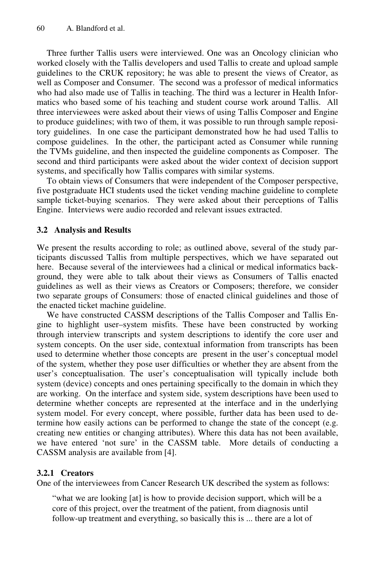Three further Tallis users were interviewed. One was an Oncology clinician who worked closely with the Tallis developers and used Tallis to create and upload sample guidelines to the CRUK repository; he was able to present the views of Creator, as well as Composer and Consumer. The second was a professor of medical informatics who had also made use of Tallis in teaching. The third was a lecturer in Health Informatics who based some of his teaching and student course work around Tallis. All three interviewees were asked about their views of using Tallis Composer and Engine to produce guidelines; with two of them, it was possible to run through sample repository guidelines. In one case the participant demonstrated how he had used Tallis to compose guidelines. In the other, the participant acted as Consumer while running the TVMs guideline, and then inspected the guideline components as Composer. The second and third participants were asked about the wider context of decision support systems, and specifically how Tallis compares with similar systems.

To obtain views of Consumers that were independent of the Composer perspective, five postgraduate HCI students used the ticket vending machine guideline to complete sample ticket-buying scenarios. They were asked about their perceptions of Tallis Engine. Interviews were audio recorded and relevant issues extracted.

#### **3.2 Analysis and Results**

We present the results according to role; as outlined above, several of the study participants discussed Tallis from multiple perspectives, which we have separated out here. Because several of the interviewees had a clinical or medical informatics background, they were able to talk about their views as Consumers of Tallis enacted guidelines as well as their views as Creators or Composers; therefore, we consider two separate groups of Consumers: those of enacted clinical guidelines and those of the enacted ticket machine guideline.

We have constructed CASSM descriptions of the Tallis Composer and Tallis Engine to highlight user–system misfits. These have been constructed by working through interview transcripts and system descriptions to identify the core user and system concepts. On the user side, contextual information from transcripts has been used to determine whether those concepts are present in the user's conceptual model of the system, whether they pose user difficulties or whether they are absent from the user's conceptualisation. The user's conceptualisation will typically include both system (device) concepts and ones pertaining specifically to the domain in which they are working. On the interface and system side, system descriptions have been used to determine whether concepts are represented at the interface and in the underlying system model. For every concept, where possible, further data has been used to determine how easily actions can be performed to change the state of the concept (e.g. creating new entities or changing attributes). Where this data has not been available, we have entered 'not sure' in the CASSM table. More details of conducting a CASSM analysis are available from [4].

## **3.2.1 Creators**

One of the interviewees from Cancer Research UK described the system as follows:

"what we are looking [at] is how to provide decision support, which will be a core of this project, over the treatment of the patient, from diagnosis until follow-up treatment and everything, so basically this is ... there are a lot of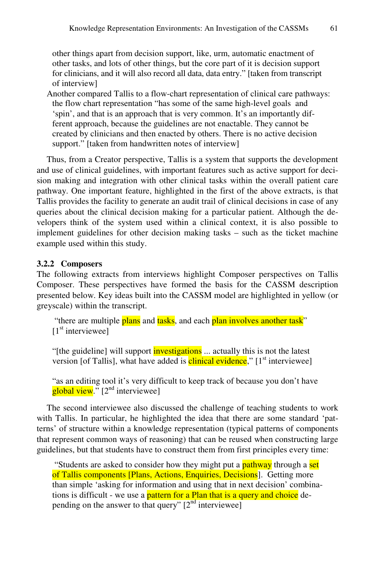other things apart from decision support, like, urm, automatic enactment of other tasks, and lots of other things, but the core part of it is decision support for clinicians, and it will also record all data, data entry." [taken from transcript of interview]

Another compared Tallis to a flow-chart representation of clinical care pathways: the flow chart representation "has some of the same high-level goals and 'spin', and that is an approach that is very common. It's an importantly different approach, because the guidelines are not enactable. They cannot be created by clinicians and then enacted by others. There is no active decision support." [taken from handwritten notes of interview]

Thus, from a Creator perspective, Tallis is a system that supports the development and use of clinical guidelines, with important features such as active support for decision making and integration with other clinical tasks within the overall patient care pathway. One important feature, highlighted in the first of the above extracts, is that Tallis provides the facility to generate an audit trail of clinical decisions in case of any queries about the clinical decision making for a particular patient. Although the developers think of the system used within a clinical context, it is also possible to implement guidelines for other decision making tasks – such as the ticket machine example used within this study.

#### **3.2.2 Composers**

The following extracts from interviews highlight Composer perspectives on Tallis Composer. These perspectives have formed the basis for the CASSM description presented below. Key ideas built into the CASSM model are highlighted in yellow (or greyscale) within the transcript.

"there are multiple plans and tasks, and each plan involves another task"  $[1<sup>st</sup>$  interviewee]

"[the guideline] will support **investigations** ... actually this is not the latest version [of Tallis], what have added is **clinical evidence**,"  $[1<sup>st</sup>$  interviewee]

"as an editing tool it's very difficult to keep track of because you don't have global view." $[2^{nd}]$  interviewee]

The second interviewee also discussed the challenge of teaching students to work with Tallis. In particular, he highlighted the idea that there are some standard 'patterns' of structure within a knowledge representation (typical patterns of components that represent common ways of reasoning) that can be reused when constructing large guidelines, but that students have to construct them from first principles every time:

"Students are asked to consider how they might put a **pathway** through a set of Tallis components [Plans, Actions, Enquiries, Decisions]. Getting more than simple 'asking for information and using that in next decision' combinations is difficult - we use a **pattern for a Plan that is a query and choice** depending on the answer to that query"  $[2<sup>nd</sup>$  interviewee]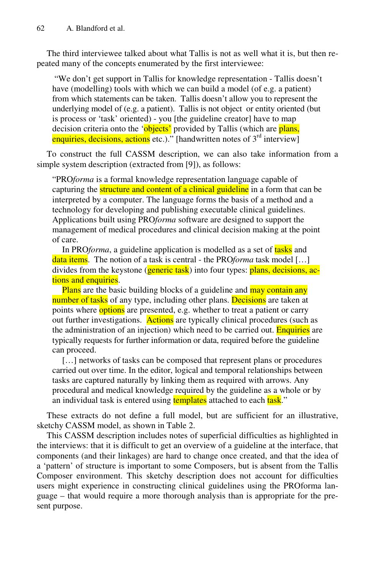The third interviewee talked about what Tallis is not as well what it is, but then repeated many of the concepts enumerated by the first interviewee:

 "We don't get support in Tallis for knowledge representation - Tallis doesn't have (modelling) tools with which we can build a model (of e.g. a patient) from which statements can be taken. Tallis doesn't allow you to represent the underlying model of (e.g. a patient). Tallis is not object or entity oriented (but is process or 'task' oriented) - you [the guideline creator] have to map decision criteria onto the 'objects' provided by Tallis (which are plans, enquiries, decisions, actions etc.)." [handwritten notes of  $3<sup>rd</sup>$  interview]

To construct the full CASSM description, we can also take information from a simple system description (extracted from [9]), as follows:

"PRO*forma* is a formal knowledge representation language capable of capturing the **structure and content of a clinical guideline** in a form that can be interpreted by a computer. The language forms the basis of a method and a technology for developing and publishing executable clinical guidelines. Applications built using PRO*forma* software are designed to support the management of medical procedures and clinical decision making at the point of care.

In PRO*forma*, a guideline application is modelled as a set of tasks and data items. The notion of a task is central - the PRO*forma* task model […] divides from the keystone (generic task) into four types: plans, decisions, actions and enquiries.

Plans are the basic building blocks of a guideline and may contain any number of tasks of any type, including other plans. Decisions are taken at points where **options** are presented, e.g. whether to treat a patient or carry out further investigations. Actions are typically clinical procedures (such as the administration of an injection) which need to be carried out. Enquiries are typically requests for further information or data, required before the guideline can proceed.

[...] networks of tasks can be composed that represent plans or procedures carried out over time. In the editor, logical and temporal relationships between tasks are captured naturally by linking them as required with arrows. Any procedural and medical knowledge required by the guideline as a whole or by an individual task is entered using templates attached to each task."

These extracts do not define a full model, but are sufficient for an illustrative, sketchy CASSM model, as shown in Table 2.

This CASSM description includes notes of superficial difficulties as highlighted in the interviews: that it is difficult to get an overview of a guideline at the interface, that components (and their linkages) are hard to change once created, and that the idea of a 'pattern' of structure is important to some Composers, but is absent from the Tallis Composer environment. This sketchy description does not account for difficulties users might experience in constructing clinical guidelines using the PROforma language – that would require a more thorough analysis than is appropriate for the present purpose.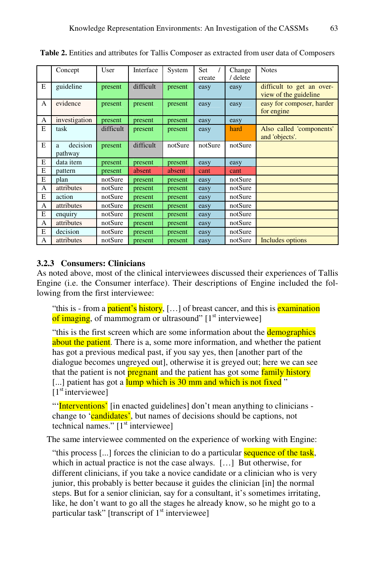|   | Concept                  | User      | Interface | System  | Set<br>create | Change<br>/ delete | <b>Notes</b>                                       |
|---|--------------------------|-----------|-----------|---------|---------------|--------------------|----------------------------------------------------|
| E | guideline                | present   | difficult | present | easy          | easy               | difficult to get an over-<br>view of the guideline |
| A | evidence                 | present   | present   | present | easy          | easy               | easy for composer, harder<br>for engine            |
| A | investigation            | present   | present   | present | easy          | easy               |                                                    |
| E | task                     | difficult | present   | present | easy          | hard               | Also called 'components'<br>and 'objects'.         |
| E | decision<br>a<br>pathway | present   | difficult | notSure | notSure       | notSure            |                                                    |
| E | data item                | present   | present   | present | easy          | easy               |                                                    |
| E | pattern                  | present   | absent    | absent  | cant          | cant               |                                                    |
| E | plan                     | notSure   | present   | present | easy          | notSure            |                                                    |
| A | attributes               | notSure   | present   | present | easy          | notSure            |                                                    |
| E | action                   | notSure   | present   | present | easy          | notSure            |                                                    |
| A | attributes               | notSure   | present   | present | easy          | notSure            |                                                    |
| E | enquiry                  | notSure   | present   | present | easy          | notSure            |                                                    |
| A | attributes               | notSure   | present   | present | easy          | notSure            |                                                    |
| E | decision                 | notSure   | present   | present | easy          | notSure            |                                                    |
| A | attributes               | notSure   | present   | present | easy          | notSure            | Includes options                                   |

**Table 2.** Entities and attributes for Tallis Composer as extracted from user data of Composers

## **3.2.3 Consumers: Clinicians**

As noted above, most of the clinical interviewees discussed their experiences of Tallis Engine (i.e. the Consumer interface). Their descriptions of Engine included the following from the first interviewee:

"this is - from a **patient's** history, [...] of breast cancer, and this is **examination** of imaging, of mammogram or ultrasound" [1<sup>st</sup> interviewee]

"this is the first screen which are some information about the **demographics** about the patient. There is a, some more information, and whether the patient has got a previous medical past, if you say yes, then [another part of the dialogue becomes ungreyed out], otherwise it is greyed out; here we can see that the patient is not **pregnant** and the patient has got some family history [...] patient has got a lump which is 30 mm and which is not fixed "  $[1<sup>st</sup>$  interviewee]

"Interventions' [in enacted guidelines] don't mean anything to clinicians change to 'candidates', but names of decisions should be captions, not technical names."  $[1<sup>st</sup>]$  interviewee]

The same interviewee commented on the experience of working with Engine:

"this process [...] forces the clinician to do a particular sequence of the task, which in actual practice is not the case always. […] But otherwise, for different clinicians, if you take a novice candidate or a clinician who is very junior, this probably is better because it guides the clinician [in] the normal steps. But for a senior clinician, say for a consultant, it's sometimes irritating, like, he don't want to go all the stages he already know, so he might go to a particular task" [transcript of  $1<sup>st</sup>$  interviewee]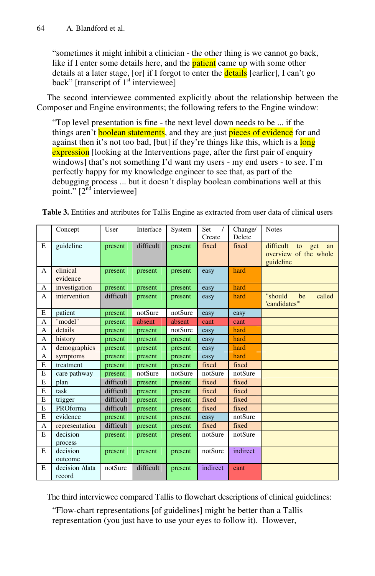"sometimes it might inhibit a clinician - the other thing is we cannot go back, like if I enter some details here, and the **patient** came up with some other details at a later stage, [or] if I forgot to enter the details [earlier], I can't go back" [transcript of 1<sup>st</sup> interviewee]

The second interviewee commented explicitly about the relationship between the Composer and Engine environments; the following refers to the Engine window:

"Top level presentation is fine - the next level down needs to be ... if the things aren't **boolean statements**, and they are just **pieces of evidence** for and against then it's not too bad, [but] if they're things like this, which is a long expression *[looking at the Interventions page, after the first pair of enquiry* windows] that's not something I'd want my users - my end users - to see. I'm perfectly happy for my knowledge engineer to see that, as part of the debugging process ... but it doesn't display boolean combinations well at this point."  $[2<sup>nd</sup>$  interviewee]

|   | Concept                  | User      | Interface | System  | Set<br>$\prime$<br>Create | Change/<br>Delete | <b>Notes</b>                                                       |
|---|--------------------------|-----------|-----------|---------|---------------------------|-------------------|--------------------------------------------------------------------|
| E | guideline                | present   | difficult | present | fixed                     | fixed             | difficult<br>to<br>get<br>an<br>overview of the whole<br>guideline |
| A | clinical<br>evidence     | present   | present   | present | easy                      | hard              |                                                                    |
| A | investigation            | present   | present   | present | easy                      | hard              |                                                                    |
| A | intervention             | difficult | present   | present | easy                      | hard              | called<br>"should<br>be<br>'candidates'"                           |
| E | patient                  | present   | notSure   | notSure | easy                      | easy              |                                                                    |
| A | "model"                  | present   | absent    | absent  | cant                      | cant              |                                                                    |
| A | details                  | present   | present   | notSure | easy                      | hard              |                                                                    |
| A | history                  | present   | present   | present | easy                      | hard              |                                                                    |
| A | demographics             | present   | present   | present | easy                      | hard              |                                                                    |
| A | symptoms                 | present   | present   | present | easy                      | hard              |                                                                    |
| E | treatment                | present   | present   | present | fixed                     | fixed             |                                                                    |
| E | care pathway             | present   | notSure   | notSure | notSure                   | notSure           |                                                                    |
| E | plan                     | difficult | present   | present | fixed                     | fixed             |                                                                    |
| E | task                     | difficult | present   | present | fixed                     | fixed             |                                                                    |
| E | trigger                  | difficult | present   | present | fixed                     | fixed             |                                                                    |
| E | PROforma                 | difficult | present   | present | fixed                     | fixed             |                                                                    |
| E | evidence                 | present   | present   | present | easy                      | notSure           |                                                                    |
| A | representation           | difficult | present   | present | fixed                     | fixed             |                                                                    |
| E | decision                 | present   | present   | present | notSure                   | notSure           |                                                                    |
|   | process                  |           |           |         |                           |                   |                                                                    |
| E | decision                 | present   | present   | present | notSure                   | indirect          |                                                                    |
|   | outcome                  |           |           |         |                           |                   |                                                                    |
| E | decision /data<br>record | notSure   | difficult | present | indirect                  | cant              |                                                                    |

**Table 3.** Entities and attributes for Tallis Engine as extracted from user data of clinical users

The third interviewee compared Tallis to flowchart descriptions of clinical guidelines:

"Flow-chart representations [of guidelines] might be better than a Tallis representation (you just have to use your eyes to follow it). However,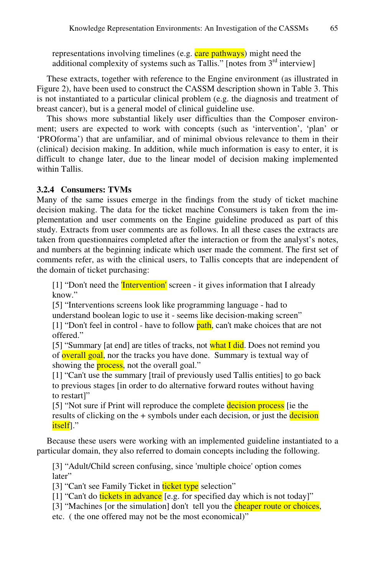representations involving timelines (e.g. care pathways) might need the additional complexity of systems such as Tallis." [notes from  $3<sup>rd</sup>$  interview]

These extracts, together with reference to the Engine environment (as illustrated in Figure 2), have been used to construct the CASSM description shown in Table 3. This is not instantiated to a particular clinical problem (e.g. the diagnosis and treatment of breast cancer), but is a general model of clinical guideline use.

This shows more substantial likely user difficulties than the Composer environment; users are expected to work with concepts (such as 'intervention', 'plan' or 'PROforma') that are unfamiliar, and of minimal obvious relevance to them in their (clinical) decision making. In addition, while much information is easy to enter, it is difficult to change later, due to the linear model of decision making implemented within Tallis.

## **3.2.4 Consumers: TVMs**

Many of the same issues emerge in the findings from the study of ticket machine decision making. The data for the ticket machine Consumers is taken from the implementation and user comments on the Engine guideline produced as part of this study. Extracts from user comments are as follows. In all these cases the extracts are taken from questionnaires completed after the interaction or from the analyst's notes, and numbers at the beginning indicate which user made the comment. The first set of comments refer, as with the clinical users, to Tallis concepts that are independent of the domain of ticket purchasing:

[1] "Don't need the *Intervention'* screen - it gives information that I already know."

[5] "Interventions screens look like programming language - had to understand boolean logic to use it - seems like decision-making screen" [1] "Don't feel in control - have to follow **path**, can't make choices that are not offered."

[5] "Summary [at end] are titles of tracks, not what I did. Does not remind you of overall goal, nor the tracks you have done. Summary is textual way of showing the **process**, not the overall goal."

[1] "Can't use the summary [trail of previously used Tallis entities] to go back to previous stages [in order to do alternative forward routes without having to restart]"

[5] "Not sure if Print will reproduce the complete **decision process** [ie the results of clicking on the  $+$  symbols under each decision, or just the decision itself]."

Because these users were working with an implemented guideline instantiated to a particular domain, they also referred to domain concepts including the following.

[3] "Adult/Child screen confusing, since 'multiple choice' option comes later"

[3] "Can't see Family Ticket in ticket type selection"

[1] "Can't do tickets in advance [e.g. for specified day which is not today]"

[3] "Machines [or the simulation] don't tell you the **cheaper route or choices**,

etc. ( the one offered may not be the most economical)"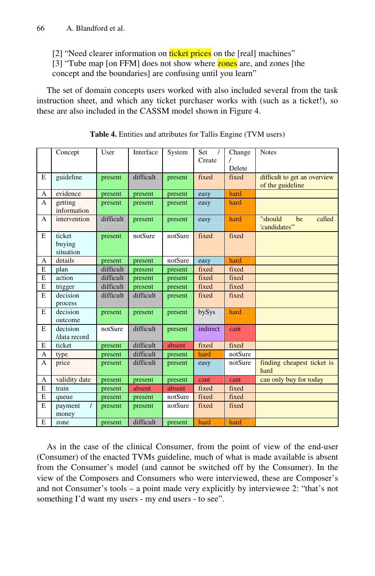[2] "Need clearer information on ticket prices on the [real] machines"

[3] "Tube map [on FFM] does not show where **zones** are, and zones [the concept and the boundaries] are confusing until you learn"

The set of domain concepts users worked with also included several from the task instruction sheet, and which any ticket purchaser works with (such as a ticket!), so these are also included in the CASSM model shown in Figure 4.

|   | Concept                       | User      | Interface | System  | Set<br>$\prime$<br>Create | Change<br>Delete | <b>Notes</b>                                     |
|---|-------------------------------|-----------|-----------|---------|---------------------------|------------------|--------------------------------------------------|
| E | guideline                     | present   | difficult | present | fixed                     | fixed            | difficult to get an overview<br>of the guideline |
| A | evidence                      | present   | present   | present | easy                      | hard             |                                                  |
| A | getting<br>information        | present   | present   | present | easy                      | hard             |                                                  |
| A | intervention                  | difficult | present   | present | easy                      | hard             | "should<br>called<br>be<br>'candidates'"         |
| E | ticket<br>buying<br>situation | present   | notSure   | notSure | fixed                     | fixed            |                                                  |
| A | details                       | present   | present   | notSure | easy                      | hard             |                                                  |
| E | plan                          | difficult | present   | present | fixed                     | fixed            |                                                  |
| E | action                        | difficult | present   | present | fixed                     | fixed            |                                                  |
| E | trigger                       | difficult | present   | present | fixed                     | fixed            |                                                  |
| E | decision<br>process           | difficult | difficult | present | fixed                     | fixed            |                                                  |
| E | decision<br>outcome           | present   | present   | present | bySys                     | hard             |                                                  |
| E | decision<br>/data record      | notSure   | difficult | present | indirect                  | cant             |                                                  |
| E | ticket                        | present   | difficult | absent  | fixed                     | fixed            |                                                  |
| A | type                          | present   | difficult | present | hard                      | notSure          |                                                  |
| A | price                         | present   | difficult | present | easy                      | notSure          | finding cheapest ticket is<br>hard               |
| A | validity date                 | present   | present   | present | cant                      | cant             | can only buy for today                           |
| E | train                         | present   | absent    | absent  | fixed                     | fixed            |                                                  |
| E | queue                         | present   | present   | notSure | fixed                     | fixed            |                                                  |
| E | $\prime$<br>payment<br>money  | present   | present   | notSure | fixed                     | fixed            |                                                  |
| E | zone                          | present   | difficult | present | hard                      | hard             |                                                  |

**Table 4.** Entities and attributes for Tallis Engine (TVM users)

As in the case of the clinical Consumer, from the point of view of the end-user (Consumer) of the enacted TVMs guideline, much of what is made available is absent from the Consumer's model (and cannot be switched off by the Consumer). In the view of the Composers and Consumers who were interviewed, these are Composer's and not Consumer's tools – a point made very explicitly by interviewee 2: "that's not something I'd want my users - my end users - to see".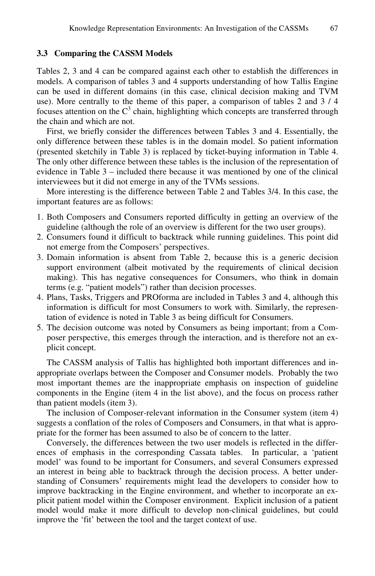#### **3.3 Comparing the CASSM Models**

Tables 2, 3 and 4 can be compared against each other to establish the differences in models. A comparison of tables 3 and 4 supports understanding of how Tallis Engine can be used in different domains (in this case, clinical decision making and TVM use). More centrally to the theme of this paper, a comparison of tables 2 and 3 / 4 focuses attention on the  $C^3$  chain, highlighting which concepts are transferred through the chain and which are not.

First, we briefly consider the differences between Tables 3 and 4. Essentially, the only difference between these tables is in the domain model. So patient information (presented sketchily in Table 3) is replaced by ticket-buying information in Table 4. The only other difference between these tables is the inclusion of the representation of evidence in Table 3 – included there because it was mentioned by one of the clinical interviewees but it did not emerge in any of the TVMs sessions.

More interesting is the difference between Table 2 and Tables 3/4. In this case, the important features are as follows:

- 1. Both Composers and Consumers reported difficulty in getting an overview of the guideline (although the role of an overview is different for the two user groups).
- 2. Consumers found it difficult to backtrack while running guidelines. This point did not emerge from the Composers' perspectives.
- 3. Domain information is absent from Table 2, because this is a generic decision support environment (albeit motivated by the requirements of clinical decision making). This has negative consequences for Consumers, who think in domain terms (e.g. "patient models") rather than decision processes.
- 4. Plans, Tasks, Triggers and PROforma are included in Tables 3 and 4, although this information is difficult for most Consumers to work with. Similarly, the representation of evidence is noted in Table 3 as being difficult for Consumers.
- 5. The decision outcome was noted by Consumers as being important; from a Composer perspective, this emerges through the interaction, and is therefore not an explicit concept.

The CASSM analysis of Tallis has highlighted both important differences and inappropriate overlaps between the Composer and Consumer models. Probably the two most important themes are the inappropriate emphasis on inspection of guideline components in the Engine (item 4 in the list above), and the focus on process rather than patient models (item 3).

The inclusion of Composer-relevant information in the Consumer system (item 4) suggests a conflation of the roles of Composers and Consumers, in that what is appropriate for the former has been assumed to also be of concern to the latter.

Conversely, the differences between the two user models is reflected in the differences of emphasis in the corresponding Cassata tables. In particular, a 'patient model' was found to be important for Consumers, and several Consumers expressed an interest in being able to backtrack through the decision process. A better understanding of Consumers' requirements might lead the developers to consider how to improve backtracking in the Engine environment, and whether to incorporate an explicit patient model within the Composer environment. Explicit inclusion of a patient model would make it more difficult to develop non-clinical guidelines, but could improve the 'fit' between the tool and the target context of use.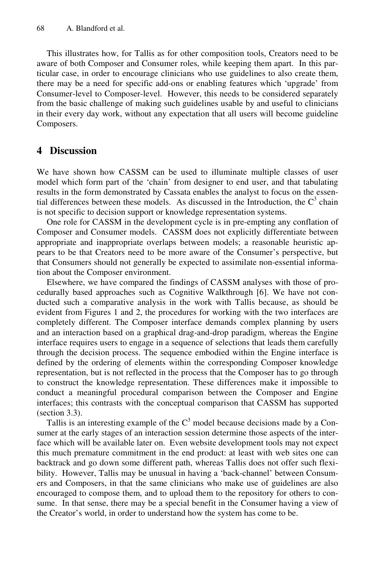This illustrates how, for Tallis as for other composition tools, Creators need to be aware of both Composer and Consumer roles, while keeping them apart. In this particular case, in order to encourage clinicians who use guidelines to also create them, there may be a need for specific add-ons or enabling features which 'upgrade' from Consumer-level to Composer-level. However, this needs to be considered separately from the basic challenge of making such guidelines usable by and useful to clinicians in their every day work, without any expectation that all users will become guideline Composers.

# **4 Discussion**

We have shown how CASSM can be used to illuminate multiple classes of user model which form part of the 'chain' from designer to end user, and that tabulating results in the form demonstrated by Cassata enables the analyst to focus on the essential differences between these models. As discussed in the Introduction, the  $C<sup>3</sup>$  chain is not specific to decision support or knowledge representation systems.

One role for CASSM in the development cycle is in pre-empting any conflation of Composer and Consumer models. CASSM does not explicitly differentiate between appropriate and inappropriate overlaps between models; a reasonable heuristic appears to be that Creators need to be more aware of the Consumer's perspective, but that Consumers should not generally be expected to assimilate non-essential information about the Composer environment.

Elsewhere, we have compared the findings of CASSM analyses with those of procedurally based approaches such as Cognitive Walkthrough [6]. We have not conducted such a comparative analysis in the work with Tallis because, as should be evident from Figures 1 and 2, the procedures for working with the two interfaces are completely different. The Composer interface demands complex planning by users and an interaction based on a graphical drag-and-drop paradigm, whereas the Engine interface requires users to engage in a sequence of selections that leads them carefully through the decision process. The sequence embodied within the Engine interface is defined by the ordering of elements within the corresponding Composer knowledge representation, but is not reflected in the process that the Composer has to go through to construct the knowledge representation. These differences make it impossible to conduct a meaningful procedural comparison between the Composer and Engine interfaces; this contrasts with the conceptual comparison that CASSM has supported (section 3.3).

Tallis is an interesting example of the  $C<sup>3</sup>$  model because decisions made by a Consumer at the early stages of an interaction session determine those aspects of the interface which will be available later on. Even website development tools may not expect this much premature commitment in the end product: at least with web sites one can backtrack and go down some different path, whereas Tallis does not offer such flexibility. However, Tallis may be unusual in having a 'back-channel' between Consumers and Composers, in that the same clinicians who make use of guidelines are also encouraged to compose them, and to upload them to the repository for others to consume. In that sense, there may be a special benefit in the Consumer having a view of the Creator's world, in order to understand how the system has come to be.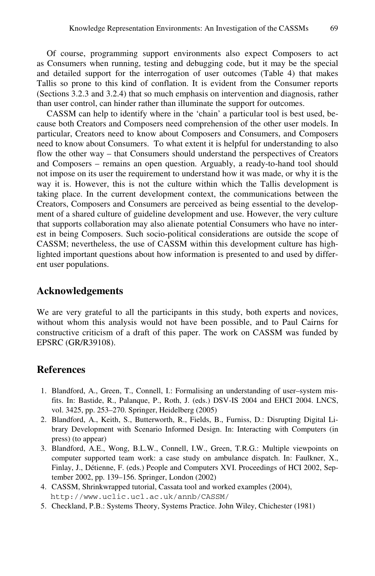Of course, programming support environments also expect Composers to act as Consumers when running, testing and debugging code, but it may be the special and detailed support for the interrogation of user outcomes (Table 4) that makes Tallis so prone to this kind of conflation. It is evident from the Consumer reports (Sections 3.2.3 and 3.2.4) that so much emphasis on intervention and diagnosis, rather than user control, can hinder rather than illuminate the support for outcomes.

CASSM can help to identify where in the 'chain' a particular tool is best used, because both Creators and Composers need comprehension of the other user models. In particular, Creators need to know about Composers and Consumers, and Composers need to know about Consumers. To what extent it is helpful for understanding to also flow the other way – that Consumers should understand the perspectives of Creators and Composers – remains an open question. Arguably, a ready-to-hand tool should not impose on its user the requirement to understand how it was made, or why it is the way it is. However, this is not the culture within which the Tallis development is taking place. In the current development context, the communications between the Creators, Composers and Consumers are perceived as being essential to the development of a shared culture of guideline development and use. However, the very culture that supports collaboration may also alienate potential Consumers who have no interest in being Composers. Such socio-political considerations are outside the scope of CASSM; nevertheless, the use of CASSM within this development culture has highlighted important questions about how information is presented to and used by different user populations.

# **Acknowledgements**

We are very grateful to all the participants in this study, both experts and novices, without whom this analysis would not have been possible, and to Paul Cairns for constructive criticism of a draft of this paper. The work on CASSM was funded by EPSRC (GR/R39108).

# **References**

- 1. Blandford, A., Green, T., Connell, I.: Formalising an understanding of user–system misfits. In: Bastide, R., Palanque, P., Roth, J. (eds.) DSV-IS 2004 and EHCI 2004. LNCS, vol. 3425, pp. 253–270. Springer, Heidelberg (2005)
- 2. Blandford, A., Keith, S., Butterworth, R., Fields, B., Furniss, D.: Disrupting Digital Library Development with Scenario Informed Design. In: Interacting with Computers (in press) (to appear)
- 3. Blandford, A.E., Wong, B.L.W., Connell, I.W., Green, T.R.G.: Multiple viewpoints on computer supported team work: a case study on ambulance dispatch. In: Faulkner, X., Finlay, J., Détienne, F. (eds.) People and Computers XVI. Proceedings of HCI 2002, September 2002, pp. 139–156. Springer, London (2002)
- 4. CASSM, Shrinkwrapped tutorial, Cassata tool and worked examples (2004), http://www.uclic.ucl.ac.uk/annb/CASSM/
- 5. Checkland, P.B.: Systems Theory, Systems Practice. John Wiley, Chichester (1981)